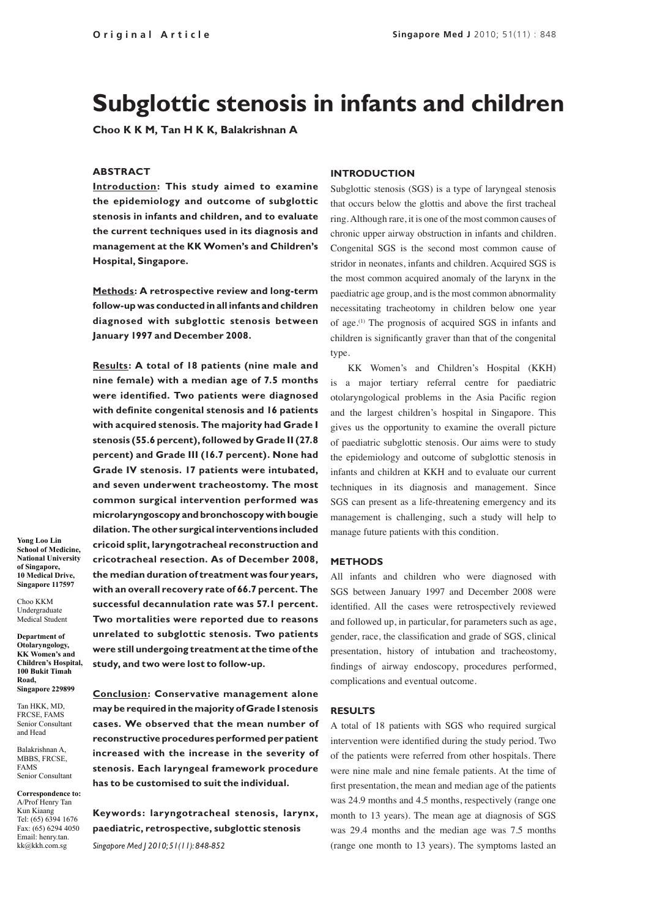# **Subglottic stenosis in infants and children**

**Choo K K M, Tan H K K, Balakrishnan A**

# **ABSTRACT**

**Introduction: This study aimed to examine the epidemiology and outcome of subglottic stenosis in infants and children, and to evaluate the current techniques used in its diagnosis and management at the KK Women's and Children's Hospital, Singapore.** 

**Methods: A retrospective review and long-term follow-up was conducted in all infants and children diagnosed with subglottic stenosis between January 1997 and December 2008.** 

**Results: A total of 18 patients (nine male and nine female) with a median age of 7.5 months were identified. Two patients were diagnosed with definite congenital stenosis and 16 patients with acquired stenosis. The majority had Grade I stenosis (55.6 percent), followed by Grade II (27.8 percent) and Grade III (16.7 percent). None had Grade IV stenosis. 17 patients were intubated, and seven underwent tracheostomy. The most common surgical intervention performed was microlaryngoscopy and bronchoscopy with bougie dilation. The other surgical interventions included cricoid split, laryngotracheal reconstruction and cricotracheal resection. As of December 2008, the median duration of treatment was four years, with an overall recovery rate of 66.7 percent. The successful decannulation rate was 57.1 percent. Two mortalities were reported due to reasons unrelated to subglottic stenosis. Two patients were still undergoing treatment at the time of the study, and two were lost to follow-up.**

**Conclusion: Conservative management alone may be required in the majority of Grade I stenosis cases. We observed that the mean number of reconstructive procedures performed per patient increased with the increase in the severity of stenosis. Each laryngeal framework procedure has to be customised to suit the individual.**

**Keywords: laryngotracheal stenosis, larynx, paediatric, retrospective, subglottic stenosis**

*Singapore Med J 2010; 51(11): 848-852*

**Yong Loo Lin School of Medicine, National University of Singapore, 10 Medical Drive, Singapore 117597**

Choo KKM Undergraduate Medical Student

**Department of Otolaryngology, KK Women's and Children's Hospital, 100 Bukit Timah Road, Singapore 229899**

Tan HKK, MD, FRCSE, FAMS Senior Consultant and Head

Balakrishnan A, MBBS, FRCSE, FAMS Senior Consultant

**Correspondence to:**  A/Prof Henry Tan Kun Kiaang Tel: (65) 6394 1676 Fax: (65) 6294 4050 Email: henry.tan. kk@kkh.com.sg

# **INTRODUCTION**

Subglottic stenosis (SGS) is a type of laryngeal stenosis that occurs below the glottis and above the first tracheal ring. Although rare, it is one of the most common causes of chronic upper airway obstruction in infants and children. Congenital SGS is the second most common cause of stridor in neonates, infants and children. Acquired SGS is the most common acquired anomaly of the larynx in the paediatric age group, and is the most common abnormality necessitating tracheotomy in children below one year of age.(1) The prognosis of acquired SGS in infants and children is significantly graver than that of the congenital type.

KK Women's and Children's Hospital (KKH) is a major tertiary referral centre for paediatric otolaryngological problems in the Asia Pacific region and the largest children's hospital in Singapore. This gives us the opportunity to examine the overall picture of paediatric subglottic stenosis. Our aims were to study the epidemiology and outcome of subglottic stenosis in infants and children at KKH and to evaluate our current techniques in its diagnosis and management. Since SGS can present as a life-threatening emergency and its management is challenging, such a study will help to manage future patients with this condition.

# **METHODS**

All infants and children who were diagnosed with SGS between January 1997 and December 2008 were identified. All the cases were retrospectively reviewed and followed up, in particular, for parameters such as age, gender, race, the classification and grade of SGS, clinical presentation, history of intubation and tracheostomy, findings of airway endoscopy, procedures performed, complications and eventual outcome.

#### **RESULTS**

A total of 18 patients with SGS who required surgical intervention were identified during the study period. Two of the patients were referred from other hospitals. There were nine male and nine female patients. At the time of first presentation, the mean and median age of the patients was 24.9 months and 4.5 months, respectively (range one month to 13 years). The mean age at diagnosis of SGS was 29.4 months and the median age was 7.5 months (range one month to 13 years). The symptoms lasted an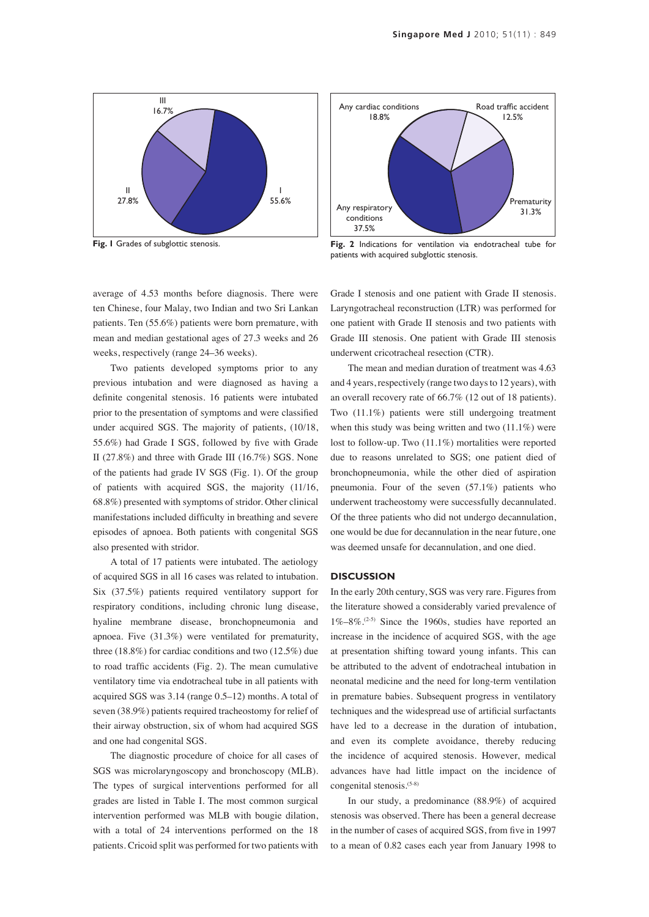

**Fig. 1** Grades of subglottic stenosis.

average of 4.53 months before diagnosis. There were ten Chinese, four Malay, two Indian and two Sri Lankan patients. Ten (55.6%) patients were born premature, with mean and median gestational ages of 27.3 weeks and 26 weeks, respectively (range 24–36 weeks).

Two patients developed symptoms prior to any previous intubation and were diagnosed as having a definite congenital stenosis. 16 patients were intubated prior to the presentation of symptoms and were classified under acquired SGS. The majority of patients, (10/18, 55.6%) had Grade I SGS, followed by five with Grade II (27.8%) and three with Grade III (16.7%) SGS. None of the patients had grade IV SGS (Fig. 1). Of the group of patients with acquired SGS, the majority (11/16, 68.8%) presented with symptoms of stridor. Other clinical manifestations included difficulty in breathing and severe episodes of apnoea. Both patients with congenital SGS also presented with stridor.

A total of 17 patients were intubated. The aetiology of acquired SGS in all 16 cases was related to intubation. Six (37.5%) patients required ventilatory support for respiratory conditions, including chronic lung disease, hyaline membrane disease, bronchopneumonia and apnoea. Five (31.3%) were ventilated for prematurity, three (18.8%) for cardiac conditions and two (12.5%) due to road traffic accidents (Fig. 2). The mean cumulative ventilatory time via endotracheal tube in all patients with acquired SGS was 3.14 (range 0.5–12) months. A total of seven (38.9%) patients required tracheostomy for relief of their airway obstruction, six of whom had acquired SGS and one had congenital SGS.

The diagnostic procedure of choice for all cases of SGS was microlaryngoscopy and bronchoscopy (MLB). The types of surgical interventions performed for all grades are listed in Table I. The most common surgical intervention performed was MLB with bougie dilation, with a total of 24 interventions performed on the 18 patients. Cricoid split was performed for two patients with



**Fig. 2** Indications for ventilation via endotracheal tube for patients with acquired subglottic stenosis.

Grade I stenosis and one patient with Grade II stenosis. Laryngotracheal reconstruction (LTR) was performed for one patient with Grade II stenosis and two patients with Grade III stenosis. One patient with Grade III stenosis underwent cricotracheal resection (CTR).

The mean and median duration of treatment was 4.63 and 4 years, respectively (range two days to 12 years), with an overall recovery rate of 66.7% (12 out of 18 patients). Two (11.1%) patients were still undergoing treatment when this study was being written and two  $(11.1\%)$  were lost to follow-up. Two (11.1%) mortalities were reported due to reasons unrelated to SGS; one patient died of bronchopneumonia, while the other died of aspiration pneumonia. Four of the seven (57.1%) patients who underwent tracheostomy were successfully decannulated. Of the three patients who did not undergo decannulation, one would be due for decannulation in the near future, one was deemed unsafe for decannulation, and one died.

### **DISCUSSION**

In the early 20th century, SGS was very rare. Figures from the literature showed a considerably varied prevalence of 1%–8%.(2-5) Since the 1960s, studies have reported an increase in the incidence of acquired SGS, with the age at presentation shifting toward young infants. This can be attributed to the advent of endotracheal intubation in neonatal medicine and the need for long-term ventilation in premature babies. Subsequent progress in ventilatory techniques and the widespread use of artificial surfactants have led to a decrease in the duration of intubation, and even its complete avoidance, thereby reducing the incidence of acquired stenosis. However, medical advances have had little impact on the incidence of congenital stenosis.(5-8)

In our study, a predominance (88.9%) of acquired stenosis was observed. There has been a general decrease in the number of cases of acquired SGS, from five in 1997 to a mean of 0.82 cases each year from January 1998 to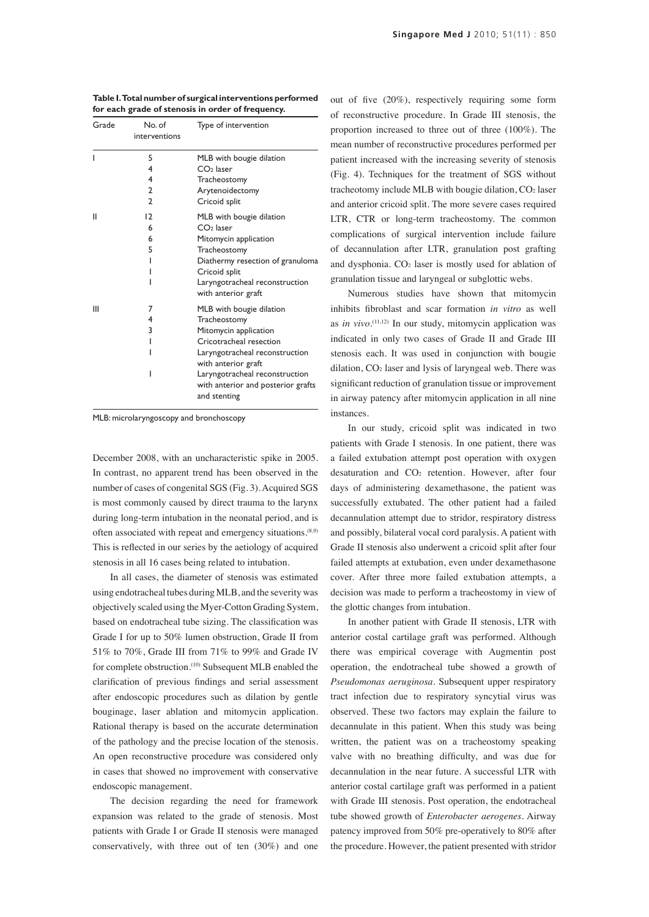| Grade | No. of<br>interventions       | Type of intervention                                                                                                                                                                                                                          |
|-------|-------------------------------|-----------------------------------------------------------------------------------------------------------------------------------------------------------------------------------------------------------------------------------------------|
| ı     | 5<br>4<br>4<br>$\overline{2}$ | MLB with bougie dilation<br>$CO2$ laser<br>Tracheostomy<br>Arytenoidectomy                                                                                                                                                                    |
|       | $\mathfrak{p}$                | Cricoid split                                                                                                                                                                                                                                 |
| н     | $\overline{2}$<br>6<br>6<br>5 | MLB with bougie dilation<br>$CO2$ laser<br>Mitomycin application<br>Tracheostomy<br>Diathermy resection of granuloma<br>Cricoid split<br>Laryngotracheal reconstruction<br>with anterior graft                                                |
| Ш     | 7<br>4<br>3<br>ı              | MLB with bougie dilation<br>Tracheostomy<br>Mitomycin application<br>Cricotracheal resection<br>Laryngotracheal reconstruction<br>with anterior graft<br>Laryngotracheal reconstruction<br>with anterior and posterior grafts<br>and stenting |

**Table I. Total number of surgical interventions performed for each grade of stenosis in order of frequency.**

MLB: microlaryngoscopy and bronchoscopy

December 2008, with an uncharacteristic spike in 2005. In contrast, no apparent trend has been observed in the number of cases of congenital SGS (Fig. 3). Acquired SGS is most commonly caused by direct trauma to the larynx during long-term intubation in the neonatal period, and is often associated with repeat and emergency situations.(8,9) This is reflected in our series by the aetiology of acquired stenosis in all 16 cases being related to intubation.

In all cases, the diameter of stenosis was estimated using endotracheal tubes during MLB, and the severity was objectively scaled using the Myer-Cotton Grading System, based on endotracheal tube sizing. The classification was Grade I for up to 50% lumen obstruction, Grade II from 51% to 70%, Grade III from 71% to 99% and Grade IV for complete obstruction.<sup>(10)</sup> Subsequent MLB enabled the clarification of previous findings and serial assessment after endoscopic procedures such as dilation by gentle bouginage, laser ablation and mitomycin application. Rational therapy is based on the accurate determination of the pathology and the precise location of the stenosis. An open reconstructive procedure was considered only in cases that showed no improvement with conservative endoscopic management.

The decision regarding the need for framework expansion was related to the grade of stenosis. Most patients with Grade I or Grade II stenosis were managed conservatively, with three out of ten (30%) and one

out of five (20%), respectively requiring some form of reconstructive procedure. In Grade III stenosis, the proportion increased to three out of three (100%). The mean number of reconstructive procedures performed per patient increased with the increasing severity of stenosis (Fig. 4). Techniques for the treatment of SGS without tracheotomy include MLB with bougie dilation,  $CO<sub>2</sub>$  laser and anterior cricoid split. The more severe cases required LTR, CTR or long-term tracheostomy. The common complications of surgical intervention include failure of decannulation after LTR, granulation post grafting and dysphonia. CO<sub>2</sub> laser is mostly used for ablation of granulation tissue and laryngeal or subglottic webs.

Numerous studies have shown that mitomycin inhibits fibroblast and scar formation *in vitro* as well as *in vivo*. (11,12) In our study, mitomycin application was indicated in only two cases of Grade II and Grade III stenosis each. It was used in conjunction with bougie dilation, CO2 laser and lysis of laryngeal web. There was significant reduction of granulation tissue or improvement in airway patency after mitomycin application in all nine instances.

In our study, cricoid split was indicated in two patients with Grade I stenosis. In one patient, there was a failed extubation attempt post operation with oxygen desaturation and CO<sub>2</sub> retention. However, after four days of administering dexamethasone, the patient was successfully extubated. The other patient had a failed decannulation attempt due to stridor, respiratory distress and possibly, bilateral vocal cord paralysis. A patient with Grade II stenosis also underwent a cricoid split after four failed attempts at extubation, even under dexamethasone cover. After three more failed extubation attempts, a decision was made to perform a tracheostomy in view of the glottic changes from intubation.

In another patient with Grade II stenosis, LTR with anterior costal cartilage graft was performed. Although there was empirical coverage with Augmentin post operation, the endotracheal tube showed a growth of *Pseudomonas aeruginosa*. Subsequent upper respiratory tract infection due to respiratory syncytial virus was observed. These two factors may explain the failure to decannulate in this patient. When this study was being written, the patient was on a tracheostomy speaking valve with no breathing difficulty, and was due for decannulation in the near future. A successful LTR with anterior costal cartilage graft was performed in a patient with Grade III stenosis. Post operation, the endotracheal tube showed growth of *Enterobacter aerogenes*. Airway patency improved from 50% pre-operatively to 80% after the procedure. However, the patient presented with stridor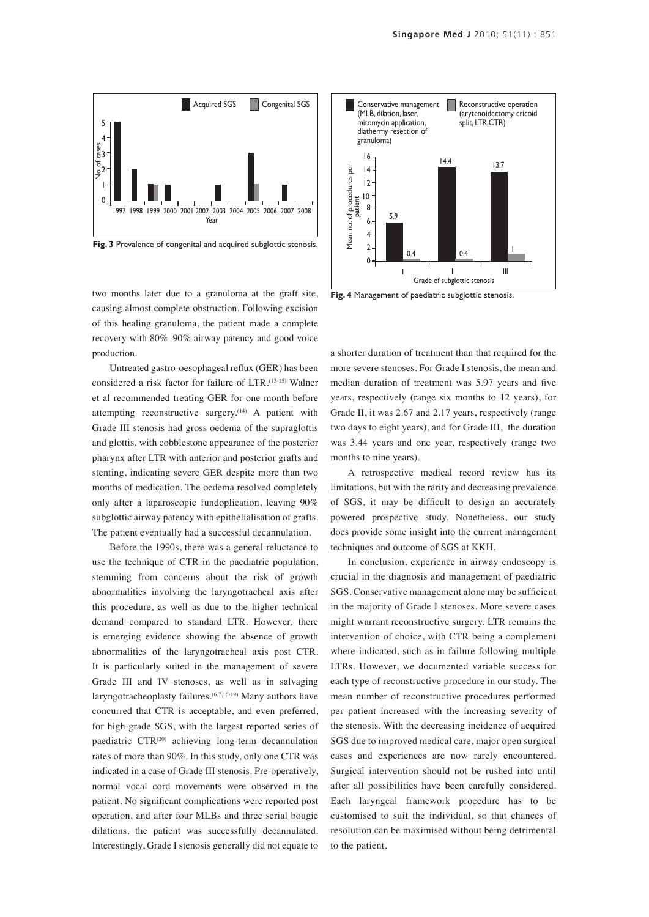

Fig. 3 Prevalence of congenital and acquired subglottic stenosis.

two months later due to a granuloma at the graft site, causing almost complete obstruction. Following excision of this healing granuloma, the patient made a complete recovery with 80%–90% airway patency and good voice production.

Untreated gastro-oesophageal reflux (GER) has been considered a risk factor for failure of LTR.(13-15) Walner et al recommended treating GER for one month before attempting reconstructive surgery.<sup>(14)</sup> A patient with Grade III stenosis had gross oedema of the supraglottis and glottis, with cobblestone appearance of the posterior pharynx after LTR with anterior and posterior grafts and stenting, indicating severe GER despite more than two months of medication. The oedema resolved completely only after a laparoscopic fundoplication, leaving 90% subglottic airway patency with epithelialisation of grafts. The patient eventually had a successful decannulation.

Before the 1990s, there was a general reluctance to use the technique of CTR in the paediatric population, stemming from concerns about the risk of growth abnormalities involving the laryngotracheal axis after this procedure, as well as due to the higher technical demand compared to standard LTR. However, there is emerging evidence showing the absence of growth abnormalities of the laryngotracheal axis post CTR. It is particularly suited in the management of severe Grade III and IV stenoses, as well as in salvaging laryngotracheoplasty failures.(6,7,16-19) Many authors have concurred that CTR is acceptable, and even preferred, for high-grade SGS, with the largest reported series of paediatric CTR<sup>(20)</sup> achieving long-term decannulation rates of more than 90%. In this study, only one CTR was indicated in a case of Grade III stenosis. Pre-operatively, normal vocal cord movements were observed in the patient. No significant complications were reported post operation, and after four MLBs and three serial bougie dilations, the patient was successfully decannulated. Interestingly, Grade I stenosis generally did not equate to



**Fig. 4** Management of paediatric subglottic stenosis.

a shorter duration of treatment than that required for the more severe stenoses. For Grade I stenosis, the mean and median duration of treatment was 5.97 years and five years, respectively (range six months to 12 years), for Grade II, it was 2.67 and 2.17 years, respectively (range two days to eight years), and for Grade III, the duration was 3.44 years and one year, respectively (range two months to nine years).

A retrospective medical record review has its limitations, but with the rarity and decreasing prevalence of SGS, it may be difficult to design an accurately powered prospective study. Nonetheless, our study does provide some insight into the current management techniques and outcome of SGS at KKH.

In conclusion, experience in airway endoscopy is crucial in the diagnosis and management of paediatric SGS. Conservative management alone may be sufficient in the majority of Grade I stenoses. More severe cases might warrant reconstructive surgery. LTR remains the intervention of choice, with CTR being a complement where indicated, such as in failure following multiple LTRs. However, we documented variable success for each type of reconstructive procedure in our study. The mean number of reconstructive procedures performed per patient increased with the increasing severity of the stenosis. With the decreasing incidence of acquired SGS due to improved medical care, major open surgical cases and experiences are now rarely encountered. Surgical intervention should not be rushed into until after all possibilities have been carefully considered. Each laryngeal framework procedure has to be customised to suit the individual, so that chances of resolution can be maximised without being detrimental to the patient.